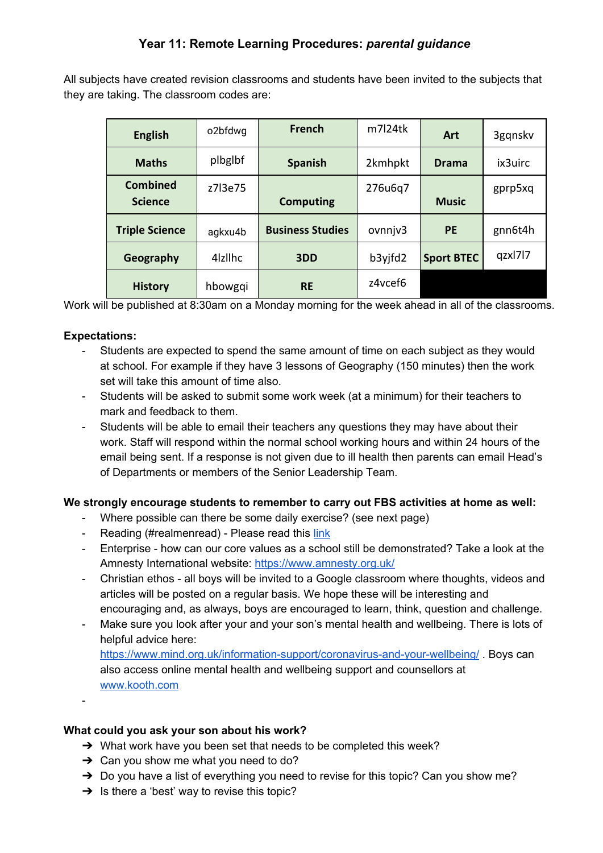All subjects have created revision classrooms and students have been invited to the subjects that they are taking. The classroom codes are:

| <b>English</b>                    | o2bfdwg             | <b>French</b>           | $m$ 7 24tk | Art               | 3gqnskv |
|-----------------------------------|---------------------|-------------------------|------------|-------------------|---------|
| <b>Maths</b>                      | plbglbf             | <b>Spanish</b>          | 2kmhpkt    | <b>Drama</b>      | ix3uirc |
| <b>Combined</b><br><b>Science</b> | z7l3e75             | <b>Computing</b>        | 276u6q7    | <b>Music</b>      | gprp5xq |
| <b>Triple Science</b>             | agkxu4b             | <b>Business Studies</b> | ovnnjv3    | <b>PE</b>         | gnn6t4h |
| Geography                         | 4 <sub>z</sub> Ilhc | 3DD                     | b3yjfd2    | <b>Sport BTEC</b> | qzxl7l7 |
| <b>History</b>                    | hbowgqi             | <b>RE</b>               | z4vcef6    |                   |         |

Work will be published at 8:30am on a Monday morning for the week ahead in all of the classrooms.

## **Expectations:**

- Students are expected to spend the same amount of time on each subject as they would at school. For example if they have 3 lessons of Geography (150 minutes) then the work set will take this amount of time also.
- Students will be asked to submit some work week (at a minimum) for their teachers to mark and feedback to them.
- Students will be able to email their teachers any questions they may have about their work. Staff will respond within the normal school working hours and within 24 hours of the email being sent. If a response is not given due to ill health then parents can email Head's of Departments or members of the Senior Leadership Team.

## **We strongly encourage students to remember to carry out FBS activities at home as well:**

- Where possible can there be some daily exercise? (see next page)
- Reading (#realmenread) Please read this [link](https://docs.google.com/document/d/1knSYcsOOGcFy1AO3hGzdqbm3yfsbWLJzxkEkZuPF_4M/edit?usp=sharing)
- Enterprise how can our core values as a school still be demonstrated? Take a look at the Amnesty International website: <https://www.amnesty.org.uk/>
- Christian ethos all boys will be invited to a Google classroom where thoughts, videos and articles will be posted on a regular basis. We hope these will be interesting and encouraging and, as always, boys are encouraged to learn, think, question and challenge.
- Make sure you look after your and your son's mental health and wellbeing. There is lots of helpful advice here: <https://www.mind.org.uk/information-support/coronavirus-and-your-wellbeing/> . Boys can also access online mental health and wellbeing support and counsellors at [www.kooth.com](http://www.kooth.com/)

-

## **What could you ask your son about his work?**

- → What work have you been set that needs to be completed this week?
- $\rightarrow$  Can you show me what you need to do?
- $\rightarrow$  Do you have a list of everything you need to revise for this topic? Can you show me?
- $\rightarrow$  Is there a 'best' way to revise this topic?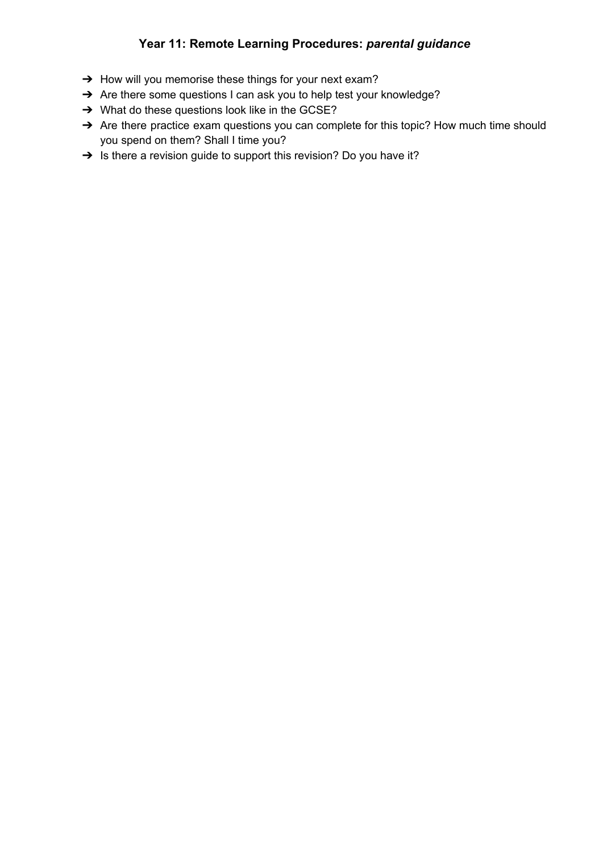## **Year 11: Remote Learning Procedures:** *parental guidance*

- → How will you memorise these things for your next exam?
- → Are there some questions I can ask you to help test your knowledge?
- → What do these questions look like in the GCSE?
- → Are there practice exam questions you can complete for this topic? How much time should you spend on them? Shall I time you?
- → Is there a revision guide to support this revision? Do you have it?